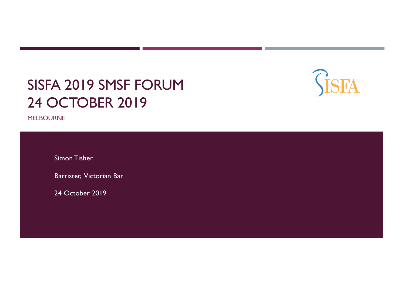# SISFA 2019 SMSF FORUM 24 OCTOBER 2019

**GISFA** 

MELBOURNE

Simon Tisher

Barrister, Victorian Bar

24 October 2019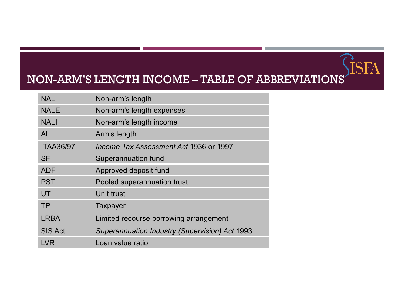#### NON-ARM'S LENGTH INCOME – TABLE OF ABBREVIATIONS

İSFA

| <b>NAL</b>                     | Non-arm's length                                      |  |
|--------------------------------|-------------------------------------------------------|--|
| <b>NALE</b>                    | Non-arm's length expenses                             |  |
| <b>NALI</b>                    | Non-arm's length income                               |  |
| <b>AL</b>                      | Arm's length                                          |  |
| <b>ITAA36/97</b>               | Income Tax Assessment Act 1936 or 1997                |  |
| <b>SF</b>                      | Superannuation fund                                   |  |
| <b>ADF</b>                     | Approved deposit fund                                 |  |
| <b>PST</b>                     | Pooled superannuation trust                           |  |
| UT                             | Unit trust                                            |  |
| <b>TP</b>                      | Taxpayer                                              |  |
| <b>LRBA</b>                    | Limited recourse borrowing arrangement                |  |
| <b>SIS Act</b>                 | <b>Superannuation Industry (Supervision) Act 1993</b> |  |
| Loan value ratio<br><b>LVR</b> |                                                       |  |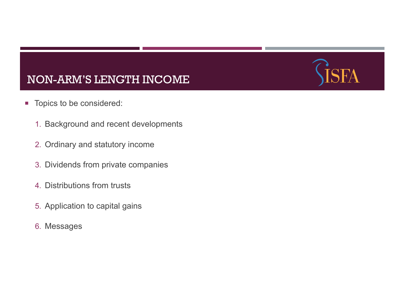

- Topics to be considered:
	- 1. Background and recent developments
	- 2. Ordinary and statutory income
	- 3. Dividends from private companies
	- 4. Distributions from trusts
	- 5. Application to capital gains
	- 6. Messages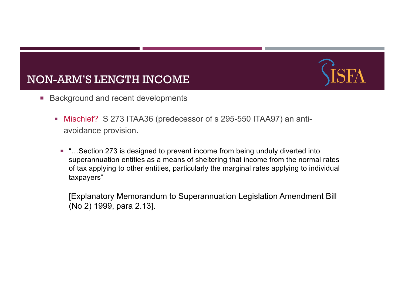

- Background and recent developments
	- Mischief? S 273 ITAA36 (predecessor of s 295-550 ITAA97) an antiavoidance provision.
		- "...Section 273 is designed to prevent income from being unduly diverted into superannuation entities as a means of sheltering that income from the normal rates of tax applying to other entities, particularly the marginal rates applying to individual taxpayers"

[Explanatory Memorandum to Superannuation Legislation Amendment Bill (No 2) 1999, para 2.13].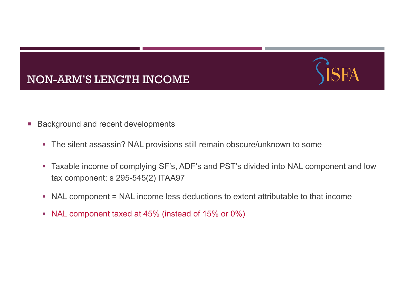



- Background and recent developments
	- The silent assassin? NAL provisions still remain obscure/unknown to some
	- Taxable income of complying SF's, ADF's and PST's divided into NAL component and low tax component: s 295-545(2) ITAA97
	- § NAL component = NAL income less deductions to extent attributable to that income
	- NAL component taxed at 45% (instead of 15% or 0%)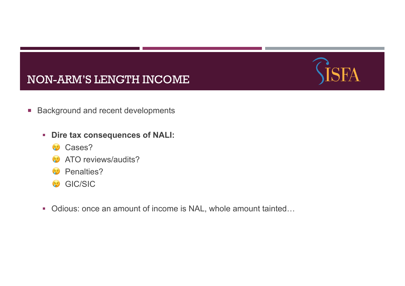

- Background and recent developments
	- § **Dire tax consequences of NALI:** 
		- **Cases?**
		- $\odot$  ATO reviews/audits?
		- **<sup>①</sup>** Penalties?
		- **GIC/SIC**
	- Odious: once an amount of income is NAL, whole amount tainted...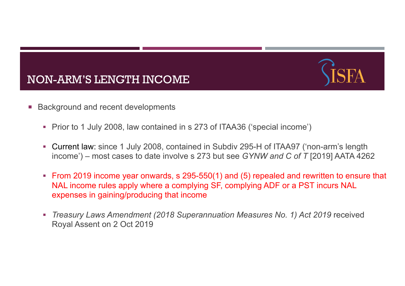

- Background and recent developments
	- Prior to 1 July 2008, law contained in s 273 of ITAA36 ('special income')
	- Current law: since 1 July 2008, contained in Subdiv 295-H of ITAA97 ('non-arm's length income') – most cases to date involve s 273 but see *GYNW and C of T* [2019] AATA 4262
	- From 2019 income year onwards, s 295-550(1) and (5) repealed and rewritten to ensure that NAL income rules apply where a complying SF, complying ADF or a PST incurs NAL expenses in gaining/producing that income
	- § *Treasury Laws Amendment (2018 Superannuation Measures No. 1) Act 2019* received Royal Assent on 2 Oct 2019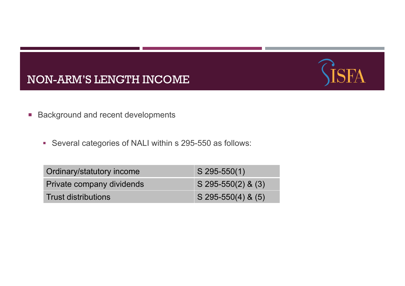



- Background and recent developments
	- Several categories of NALI within s 295-550 as follows:

| Ordinary/statutory income  | $S$ 295-550(1)                   |
|----------------------------|----------------------------------|
| Private company dividends  | $\sqrt{5}$ 295-550(2) & (3)      |
| <b>Trust distributions</b> | $\sqrt{(5\ 295-550(4)\ 8\ (5))}$ |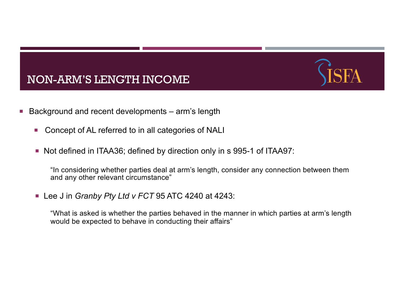

- Background and recent developments arm's length
	- Concept of AL referred to in all categories of NALI
	- ¡ Not defined in ITAA36; defined by direction only in s 995-1 of ITAA97:

"In considering whether parties deal at arm's length, consider any connection between them and any other relevant circumstance"

¡ Lee J in *Granby Pty Ltd v FCT* 95 ATC 4240 at 4243:

"What is asked is whether the parties behaved in the manner in which parties at arm's length would be expected to behave in conducting their affairs"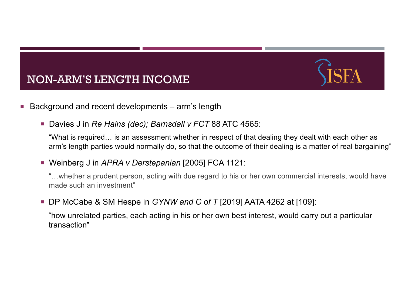

- Background and recent developments arm's length
	- ¡ Davies J in *Re Hains (dec); Barnsdall v FCT* 88 ATC 4565:

"What is required… is an assessment whether in respect of that dealing they dealt with each other as arm's length parties would normally do, so that the outcome of their dealing is a matter of real bargaining"

¡ Weinberg J in *APRA v Derstepanian* [2005] FCA 1121:

"…whether a prudent person, acting with due regard to his or her own commercial interests, would have made such an investment"

¡ DP McCabe & SM Hespe in *GYNW and C of T* [2019] AATA 4262 at [109]:

"how unrelated parties, each acting in his or her own best interest, would carry out a particular transaction"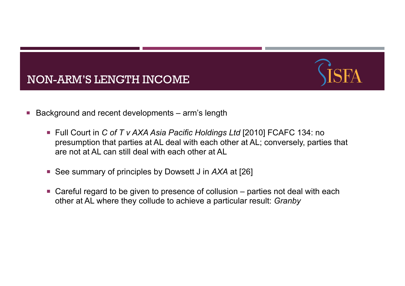



- Background and recent developments arm's length
	- Full Court in *C of T v AXA Asia Pacific Holdings Ltd* [2010] FCAFC 134: no presumption that parties at AL deal with each other at AL; conversely, parties that are not at AL can still deal with each other at AL
	- See summary of principles by Dowsett *J* in *AXA* at [26]
	- $\blacksquare$  Careful regard to be given to presence of collusion  $-$  parties not deal with each other at AL where they collude to achieve a particular result: *Granby*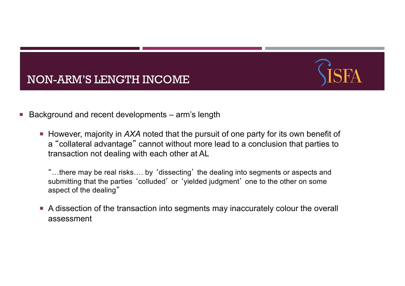



- Background and recent developments arm's length
	- ¡ However, majority in *AXA* noted that the pursuit of one party for its own benefit of a "collateral advantage" cannot without more lead to a conclusion that parties to transaction not dealing with each other at AL

"…there may be real risks…. by 'dissecting' the dealing into segments or aspects and submitting that the parties 'colluded' or 'yielded judgment' one to the other on some aspect of the dealing"

■ A dissection of the transaction into segments may inaccurately colour the overall assessment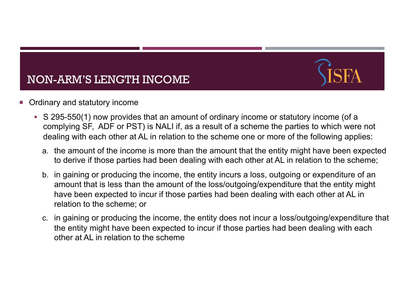

#### Ordinary and statutory income

- S 295-550(1) now provides that an amount of ordinary income or statutory income (of a complying SF, ADF or PST) is NALI if, as a result of a scheme the parties to which were not dealing with each other at AL in relation to the scheme one or more of the following applies:
	- a. the amount of the income is more than the amount that the entity might have been expected to derive if those parties had been dealing with each other at AL in relation to the scheme;
	- b. in gaining or producing the income, the entity incurs a loss, outgoing or expenditure of an amount that is less than the amount of the loss/outgoing/expenditure that the entity might have been expected to incur if those parties had been dealing with each other at AL in relation to the scheme; or
	- c. in gaining or producing the income, the entity does not incur a loss/outgoing/expenditure that the entity might have been expected to incur if those parties had been dealing with each other at AL in relation to the scheme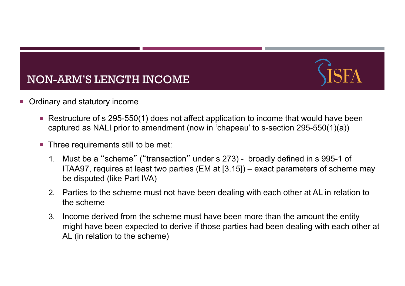

- Ordinary and statutory income
	- Restructure of s 295-550(1) does not affect application to income that would have been captured as NALI prior to amendment (now in 'chapeau' to s-section 295-550(1)(a))
	- Three requirements still to be met:
		- 1. Must be a "scheme" ("transaction" under s 273) broadly defined in s 995-1 of ITAA97, requires at least two parties (EM at [3.15]) – exact parameters of scheme may be disputed (like Part IVA)
		- 2. Parties to the scheme must not have been dealing with each other at AL in relation to the scheme
		- 3. Income derived from the scheme must have been more than the amount the entity might have been expected to derive if those parties had been dealing with each other at AL (in relation to the scheme)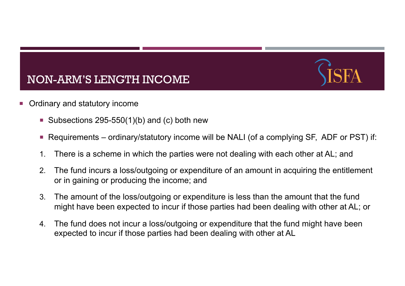- Ordinary and statutory income
	- Subsections 295-550(1)(b) and (c) both new
	- Requirements ordinary/statutory income will be NALI (of a complying SF, ADF or PST) if:
	- 1. There is a scheme in which the parties were not dealing with each other at AL; and
	- 2. The fund incurs a loss/outgoing or expenditure of an amount in acquiring the entitlement or in gaining or producing the income; and
	- 3. The amount of the loss/outgoing or expenditure is less than the amount that the fund might have been expected to incur if those parties had been dealing with other at AL; or
	- 4. The fund does not incur a loss/outgoing or expenditure that the fund might have been expected to incur if those parties had been dealing with other at AL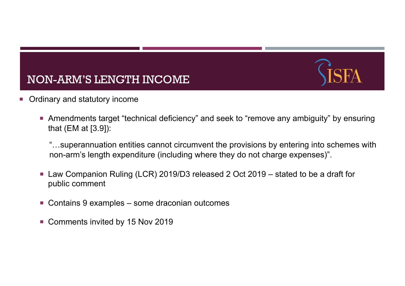- Ordinary and statutory income
	- ¡ Amendments target "technical deficiency" and seek to "remove any ambiguity" by ensuring that (EM at [3.9]):

"…superannuation entities cannot circumvent the provisions by entering into schemes with non-arm's length expenditure (including where they do not charge expenses)".

- Law Companion Ruling (LCR) 2019/D3 released 2 Oct 2019 stated to be a draft for public comment
- Contains 9 examples some draconian outcomes
- Comments invited by 15 Nov 2019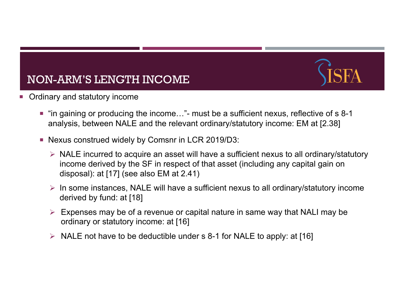

- Ordinary and statutory income
	- "in gaining or producing the income..." must be a sufficient nexus, reflective of s 8-1 analysis, between NALE and the relevant ordinary/statutory income: EM at [2.38]
	- ¡ Nexus construed widely by Comsnr in LCR 2019/D3:
		- $\triangleright$  NALE incurred to acquire an asset will have a sufficient nexus to all ordinary/statutory income derived by the SF in respect of that asset (including any capital gain on disposal): at [17] (see also EM at 2.41)
		- $\triangleright$  In some instances, NALE will have a sufficient nexus to all ordinary/statutory income derived by fund: at [18]
		- $\triangleright$  Expenses may be of a revenue or capital nature in same way that NALI may be ordinary or statutory income: at [16]
		- $\triangleright$  NALE not have to be deductible under s 8-1 for NALE to apply: at [16]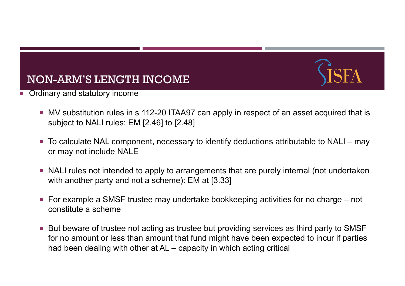

- Ordinary and statutory income
	- ¡ MV substitution rules in s 112-20 ITAA97 can apply in respect of an asset acquired that is subject to NALI rules: EM [2.46] to [2.48]
	- To calculate NAL component, necessary to identify deductions attributable to NALI may or may not include NALE
	- NALI rules not intended to apply to arrangements that are purely internal (not undertaken with another party and not a scheme): EM at [3.33]
	- $\blacksquare$  For example a SMSF trustee may undertake bookkeeping activities for no charge  $-$  not constitute a scheme
	- But beware of trustee not acting as trustee but providing services as third party to SMSF for no amount or less than amount that fund might have been expected to incur if parties had been dealing with other at AL – capacity in which acting critical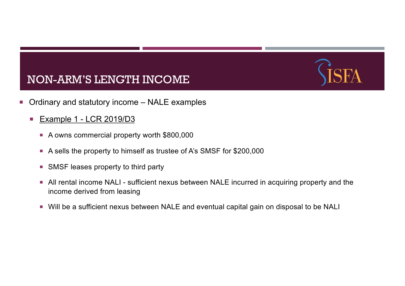- Ordinary and statutory income NALE examples
	- **Example 1 LCR 2019/D3** 
		- A owns commercial property worth \$800,000
		- ¡ A sells the property to himself as trustee of A's SMSF for \$200,000
		- SMSF leases property to third party
		- **All rental income NALI sufficient nexus between NALE incurred in acquiring property and the** income derived from leasing
		- Will be a sufficient nexus between NALE and eventual capital gain on disposal to be NALI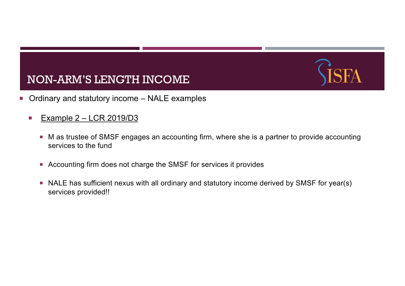- Ordinary and statutory income NALE examples
	- Example  $2 LCR$  2019/D3
		- M as trustee of SMSF engages an accounting firm, where she is a partner to provide accounting services to the fund
		- Accounting firm does not charge the SMSF for services it provides
		- NALE has sufficient nexus with all ordinary and statutory income derived by SMSF for year(s) services provided!!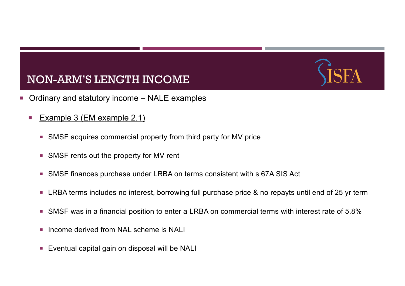- Ordinary and statutory income NALE examples
	- Example 3 (EM example 2.1)
		- SMSF acquires commercial property from third party for MV price
		- SMSF rents out the property for MV rent
		- SMSF finances purchase under LRBA on terms consistent with s 67A SIS Act
		- LRBA terms includes no interest, borrowing full purchase price & no repayts until end of 25 yr term
		- SMSF was in a financial position to enter a LRBA on commercial terms with interest rate of 5.8%
		- **Income derived from NAL scheme is NALI**
		- Eventual capital gain on disposal will be NALI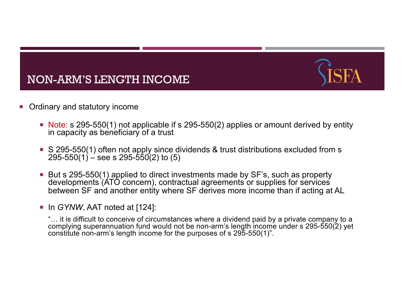



- Ordinary and statutory income
	- Note: s 295-550(1) not applicable if s 295-550(2) applies or amount derived by entity in capacity as beneficiary of a trust
	- S 295-550(1) often not apply since dividends & trust distributions excluded from s  $295-550(1) -$  see s  $295-550(2)$  to (5)
	- But s 295-550(1) applied to direct investments made by SF's, such as property developments (ATO concern), contractual agreements or supplies for services between SF and another entity where SF derives more income than if acting at AL
	- ¡ In *GYNW*, AAT noted at [124]:
		- "… it is difficult to conceive of circumstances where a dividend paid by a private company to a complying superannuation fund would not be non-arm's length income under s 295-550(2) yet constitute non-arm's length income for the purposes of s 295-550(1)".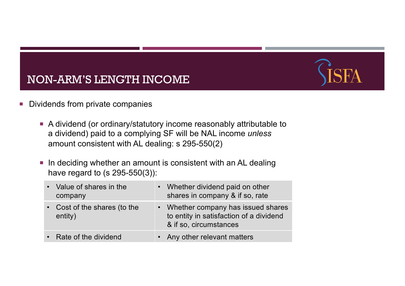- **Dividends from private companies** 
	- A dividend (or ordinary/statutory income reasonably attributable to a dividend) paid to a complying SF will be NAL income *unless*  amount consistent with AL dealing: s 295-550(2)
	- **In deciding whether an amount is consistent with an AL dealing** have regard to (s 295-550(3)):

| • Value of shares in the<br>company     | • Whether dividend paid on other<br>shares in company & if so, rate                                      |
|-----------------------------------------|----------------------------------------------------------------------------------------------------------|
| • Cost of the shares (to the<br>entity) | • Whether company has issued shares<br>to entity in satisfaction of a dividend<br>& if so, circumstances |
| • Rate of the dividend                  | • Any other relevant matters                                                                             |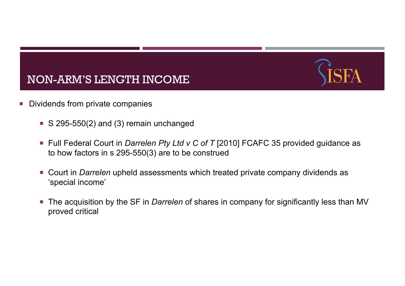- **Dividends from private companies** 
	- $\blacktriangleright$  S 295-550(2) and (3) remain unchanged
	- Full Federal Court in *Darrelen Pty Ltd v C of T* [2010] FCAFC 35 provided guidance as to how factors in s 295-550(3) are to be construed
	- ¡ Court in *Darrelen* upheld assessments which treated private company dividends as 'special income'
	- ¡ The acquisition by the SF in *Darrelen* of shares in company for significantly less than MV proved critical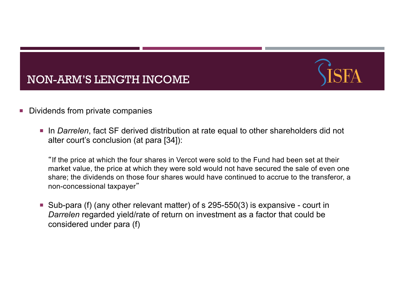

- Dividends from private companies
	- ¡ In *Darrelen*, fact SF derived distribution at rate equal to other shareholders did not alter court's conclusion (at para [34]):

"If the price at which the four shares in Vercot were sold to the Fund had been set at their market value, the price at which they were sold would not have secured the sale of even one share; the dividends on those four shares would have continued to accrue to the transferor, a non-concessional taxpayer"

 $\blacksquare$  Sub-para (f) (any other relevant matter) of s 295-550(3) is expansive - court in *Darrelen* regarded yield/rate of return on investment as a factor that could be considered under para (f)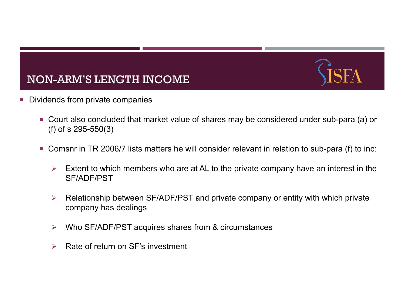

- Dividends from private companies
	- Court also concluded that market value of shares may be considered under sub-para (a) or (f) of s 295-550(3)
	- Comsnr in TR 2006/7 lists matters he will consider relevant in relation to sub-para (f) to inc:
		- $\triangleright$  Extent to which members who are at AL to the private company have an interest in the SF/ADF/PST
		- $\triangleright$  Relationship between SF/ADF/PST and private company or entity with which private company has dealings
		- $\triangleright$  Who SF/ADF/PST acquires shares from & circumstances
		- $\triangleright$  Rate of return on SF's investment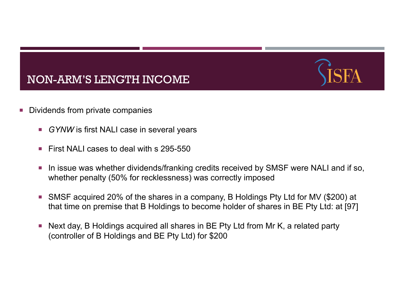- Dividends from private companies
	- *GYNW* is first NALI case in several years
	- First NAI I cases to deal with s 295-550
	- In issue was whether dividends/franking credits received by SMSF were NALI and if so, whether penalty (50% for recklessness) was correctly imposed
	- ¡ SMSF acquired 20% of the shares in a company, B Holdings Pty Ltd for MV (\$200) at that time on premise that B Holdings to become holder of shares in BE Pty Ltd: at [97]
	- Next day, B Holdings acquired all shares in BE Pty Ltd from Mr K, a related party (controller of B Holdings and BE Pty Ltd) for \$200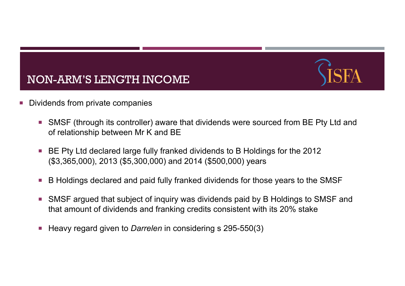- **Dividends from private companies** 
	- SMSF (through its controller) aware that dividends were sourced from BE Pty Ltd and of relationship between Mr K and BE
	- BE Pty Ltd declared large fully franked dividends to B Holdings for the 2012 (\$3,365,000), 2013 (\$5,300,000) and 2014 (\$500,000) years
	- B Holdings declared and paid fully franked dividends for those years to the SMSF
	- SMSF argued that subject of inquiry was dividends paid by B Holdings to SMSF and that amount of dividends and franking credits consistent with its 20% stake
	- ¡ Heavy regard given to *Darrelen* in considering s 295-550(3)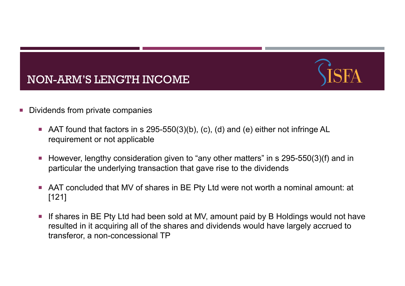



- Dividends from private companies
	- $\blacksquare$  AAT found that factors in s 295-550(3)(b), (c), (d) and (e) either not infringe AL requirement or not applicable
	- ¡ However, lengthy consideration given to "any other matters" in s 295-550(3)(f) and in particular the underlying transaction that gave rise to the dividends
	- AAT concluded that MV of shares in BE Pty Ltd were not worth a nominal amount: at [121]
	- **If shares in BE Pty Ltd had been sold at MV, amount paid by B Holdings would not have** resulted in it acquiring all of the shares and dividends would have largely accrued to transferor, a non-concessional TP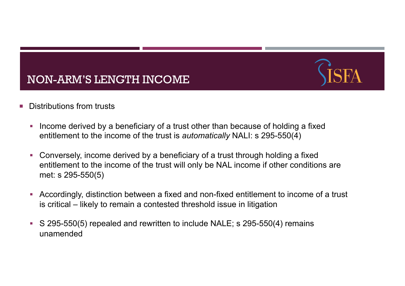- Distributions from trusts
	- Income derived by a beneficiary of a trust other than because of holding a fixed entitlement to the income of the trust is *automatically* NALI: s 295-550(4)
	- § Conversely, income derived by a beneficiary of a trust through holding a fixed entitlement to the income of the trust will only be NAL income if other conditions are met: s 295-550(5)
	- § Accordingly, distinction between a fixed and non-fixed entitlement to income of a trust is critical – likely to remain a contested threshold issue in litigation
	- § S 295-550(5) repealed and rewritten to include NALE; s 295-550(4) remains unamended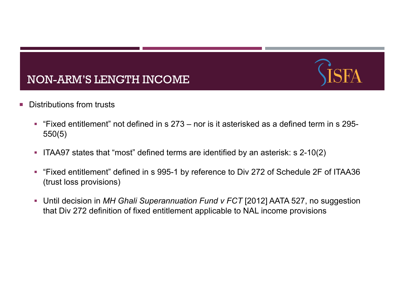- **E** Distributions from trusts
	- § "Fixed entitlement" not defined in s 273 nor is it asterisked as a defined term in s 295- 550(5)
	- § ITAA97 states that "most" defined terms are identified by an asterisk: s 2-10(2)
	- § "Fixed entitlement" defined in s 995-1 by reference to Div 272 of Schedule 2F of ITAA36 (trust loss provisions)
	- Until decision in *MH Ghali Superannuation Fund v FCT* [2012] AATA 527, no suggestion that Div 272 definition of fixed entitlement applicable to NAL income provisions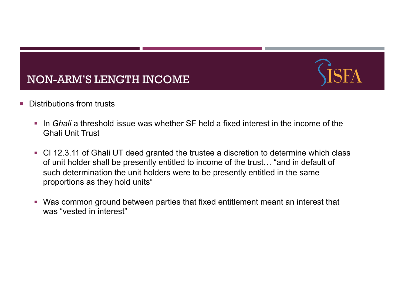- Distributions from trusts
	- In *Ghali* a threshold issue was whether SF held a fixed interest in the income of the Ghali Unit Trust
	- Cl 12.3.11 of Ghali UT deed granted the trustee a discretion to determine which class of unit holder shall be presently entitled to income of the trust… "and in default of such determination the unit holders were to be presently entitled in the same proportions as they hold units"
	- § Was common ground between parties that fixed entitlement meant an interest that was "vested in interest"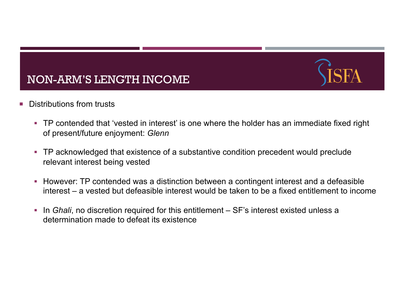- Distributions from trusts
	- TP contended that 'vested in interest' is one where the holder has an immediate fixed right of present/future enjoyment: *Glenn*
	- TP acknowledged that existence of a substantive condition precedent would preclude relevant interest being vested
	- However: TP contended was a distinction between a contingent interest and a defeasible interest – a vested but defeasible interest would be taken to be a fixed entitlement to income
	- In *Ghali*, no discretion required for this entitlement SF's interest existed unless a determination made to defeat its existence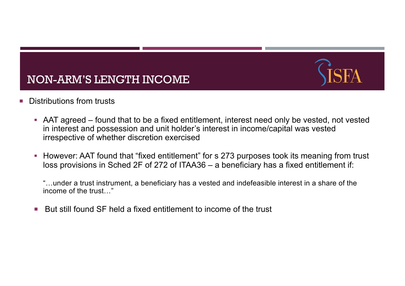

- Distributions from trusts
	- AAT agreed found that to be a fixed entitlement, interest need only be vested, not vested in interest and possession and unit holder's interest in income/capital was vested irrespective of whether discretion exercised
	- However: AAT found that "fixed entitlement" for s 273 purposes took its meaning from trust loss provisions in Sched 2F of 272 of ITAA36 – a beneficiary has a fixed entitlement if:
		- "…under a trust instrument, a beneficiary has a vested and indefeasible interest in a share of the income of the trust…"
	- But still found SF held a fixed entitlement to income of the trust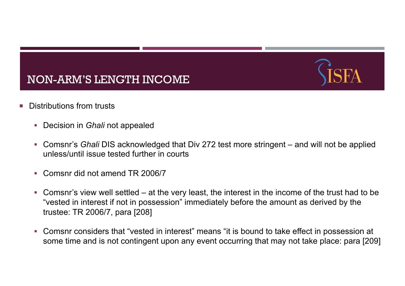- Distributions from trusts
	- Decision in *Ghali* not appealed
	- Comsnr's *Ghali* DIS acknowledged that Div 272 test more stringent and will not be applied unless/until issue tested further in courts
	- Comsnr did not amend TR 2006/7
	- $\blacksquare$  Comsnr's view well settled at the very least, the interest in the income of the trust had to be "vested in interest if not in possession" immediately before the amount as derived by the trustee: TR 2006/7, para [208]
	- Comsnr considers that "vested in interest" means "it is bound to take effect in possession at some time and is not contingent upon any event occurring that may not take place: para [209]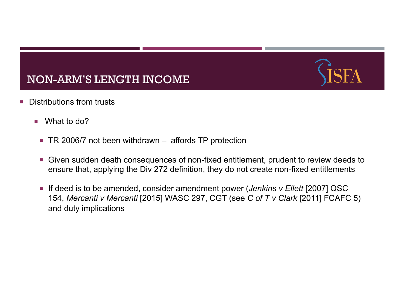- **Distributions from trusts** 
	- What to do?
		- TR 2006/7 not been withdrawn affords TP protection
		- ¡ Given sudden death consequences of non-fixed entitlement, prudent to review deeds to ensure that, applying the Div 272 definition, they do not create non-fixed entitlements
		- If deed is to be amended, consider amendment power (*Jenkins v Ellett* [2007] QSC 154, *Mercanti v Mercanti* [2015] WASC 297, CGT (see *C of T v Clark* [2011] FCAFC 5) and duty implications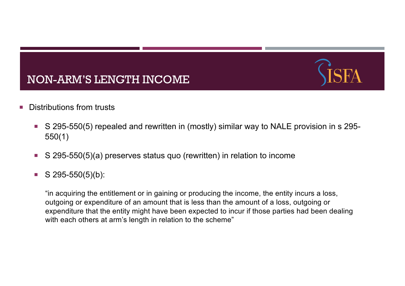- **Distributions from trusts** 
	- S 295-550(5) repealed and rewritten in (mostly) similar way to NALE provision in s 295-550(1)
	- S 295-550(5)(a) preserves status quo (rewritten) in relation to income
	- $\blacksquare$  S 295-550(5)(b):

"in acquiring the entitlement or in gaining or producing the income, the entity incurs a loss, outgoing or expenditure of an amount that is less than the amount of a loss, outgoing or expenditure that the entity might have been expected to incur if those parties had been dealing with each others at arm's length in relation to the scheme"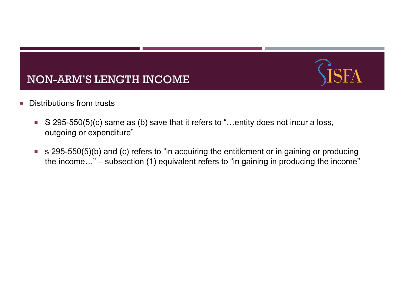- **Distributions from trusts** 
	- S 295-550(5)(c) same as (b) save that it refers to "...entity does not incur a loss, outgoing or expenditure"
	- s 295-550(5)(b) and (c) refers to "in acquiring the entitlement or in gaining or producing the income…" – subsection (1) equivalent refers to "in gaining in producing the income"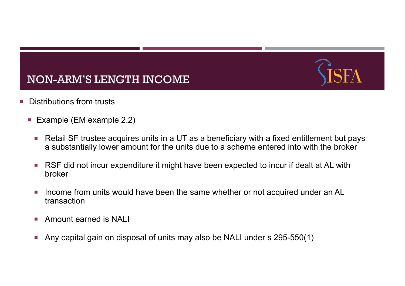- **E** Distributions from trusts
	- **Example (EM example 2.2)** 
		- Retail SF trustee acquires units in a UT as a beneficiary with a fixed entitlement but pays a substantially lower amount for the units due to a scheme entered into with the broker
		- RSF did not incur expenditure it might have been expected to incur if dealt at AL with broker
		- Income from units would have been the same whether or not acquired under an AL transaction
		- **E** Amount earned is NALI
		- ¡ Any capital gain on disposal of units may also be NALI under s 295-550(1)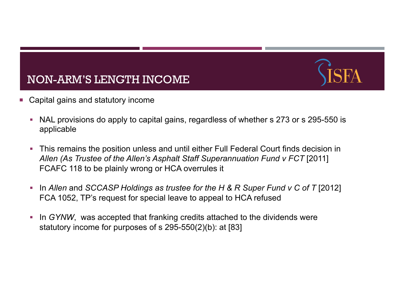- Capital gains and statutory income
	- NAL provisions do apply to capital gains, regardless of whether s 273 or s 295-550 is applicable
	- This remains the position unless and until either Full Federal Court finds decision in *Allen (As Trustee of the Allen's Asphalt Staff Superannuation Fund v FCT* [2011] FCAFC 118 to be plainly wrong or HCA overrules it
	- § In *Allen* and *SCCASP Holdings as trustee for the H & R Super Fund v C of T* [2012] FCA 1052, TP's request for special leave to appeal to HCA refused
	- In *GYNW*, was accepted that franking credits attached to the dividends were statutory income for purposes of s 295-550(2)(b): at [83]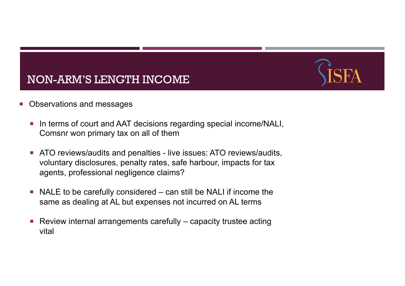- Observations and messages
	- In terms of court and AAT decisions regarding special income/NALI, Comsnr won primary tax on all of them
	- **EXTERG** THE ATO reviews/audits and penalties live issues: ATO reviews/audits, voluntary disclosures, penalty rates, safe harbour, impacts for tax agents, professional negligence claims?
	- $\blacksquare$  NALE to be carefully considered  $\lightharpoonup$  can still be NALI if income the same as dealing at AL but expenses not incurred on AL terms
	- $\blacksquare$  Review internal arrangements carefully capacity trustee acting vital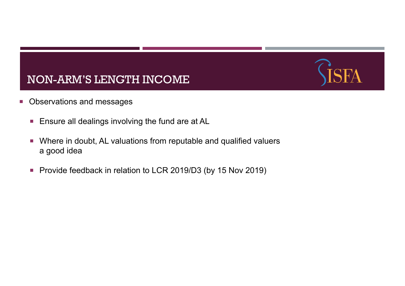- **Observations and messages** 
	- **Ensure all dealings involving the fund are at AL**
	- ¡ Where in doubt, AL valuations from reputable and qualified valuers a good idea
	- Provide feedback in relation to LCR 2019/D3 (by 15 Nov 2019)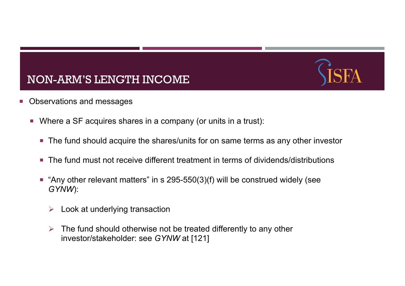- Observations and messages
	- ¡ Where a SF acquires shares in a company (or units in a trust):
		- The fund should acquire the shares/units for on same terms as any other investor
		- The fund must not receive different treatment in terms of dividends/distributions
		- $\blacksquare$  "Any other relevant matters" in s 295-550(3)(f) will be construed widely (see *GYNW*):
			- $\triangleright$  Look at underlying transaction
			- $\triangleright$  The fund should otherwise not be treated differently to any other investor/stakeholder: see *GYNW* at [121]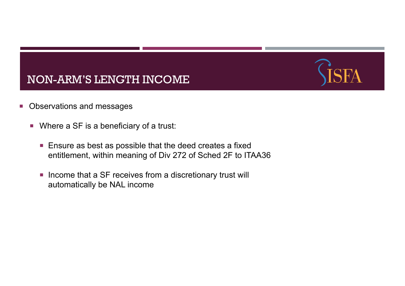- Observations and messages
	- Where a SF is a beneficiary of a trust:
		- Ensure as best as possible that the deed creates a fixed entitlement, within meaning of Div 272 of Sched 2F to ITAA36
		- Income that a SF receives from a discretionary trust will automatically be NAL income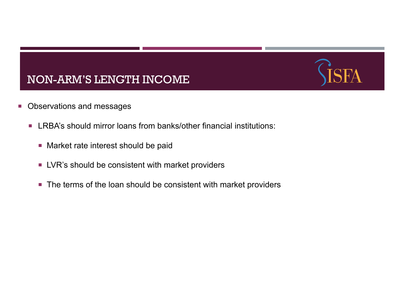- **Observations and messages** 
	- LRBA's should mirror loans from banks/other financial institutions:
		- Market rate interest should be paid
		- LVR's should be consistent with market providers
		- The terms of the loan should be consistent with market providers